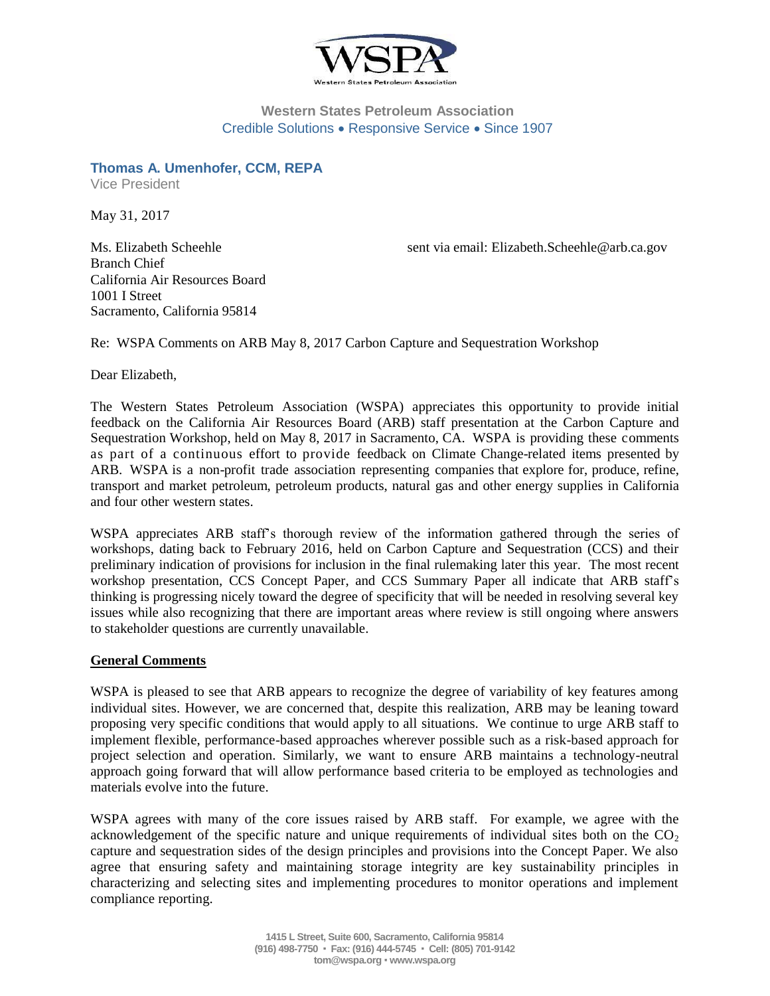

## **Western States Petroleum Association** Credible Solutions . Responsive Service . Since 1907

**Thomas A. Umenhofer, CCM, REPA** Vice President

May 31, 2017

Branch Chief California Air Resources Board 1001 I Street Sacramento, California 95814

Ms. Elizabeth Scheehle sent via email: Elizabeth.Scheehle@arb.ca.gov

Re: WSPA Comments on ARB May 8, 2017 Carbon Capture and Sequestration Workshop

Dear Elizabeth,

The Western States Petroleum Association (WSPA) appreciates this opportunity to provide initial feedback on the California Air Resources Board (ARB) staff presentation at the Carbon Capture and Sequestration Workshop, held on May 8, 2017 in Sacramento, CA. WSPA is providing these comments as part of a continuous effort to provide feedback on Climate Change-related items presented by ARB. WSPA is a non-profit trade association representing companies that explore for, produce, refine, transport and market petroleum, petroleum products, natural gas and other energy supplies in California and four other western states.

WSPA appreciates ARB staff's thorough review of the information gathered through the series of workshops, dating back to February 2016, held on Carbon Capture and Sequestration (CCS) and their preliminary indication of provisions for inclusion in the final rulemaking later this year. The most recent workshop presentation, CCS Concept Paper, and CCS Summary Paper all indicate that ARB staff's thinking is progressing nicely toward the degree of specificity that will be needed in resolving several key issues while also recognizing that there are important areas where review is still ongoing where answers to stakeholder questions are currently unavailable.

### **General Comments**

WSPA is pleased to see that ARB appears to recognize the degree of variability of key features among individual sites. However, we are concerned that, despite this realization, ARB may be leaning toward proposing very specific conditions that would apply to all situations. We continue to urge ARB staff to implement flexible, performance-based approaches wherever possible such as a risk-based approach for project selection and operation. Similarly, we want to ensure ARB maintains a technology-neutral approach going forward that will allow performance based criteria to be employed as technologies and materials evolve into the future.

WSPA agrees with many of the core issues raised by ARB staff. For example, we agree with the acknowledgement of the specific nature and unique requirements of individual sites both on the  $CO<sub>2</sub>$ capture and sequestration sides of the design principles and provisions into the Concept Paper. We also agree that ensuring safety and maintaining storage integrity are key sustainability principles in characterizing and selecting sites and implementing procedures to monitor operations and implement compliance reporting.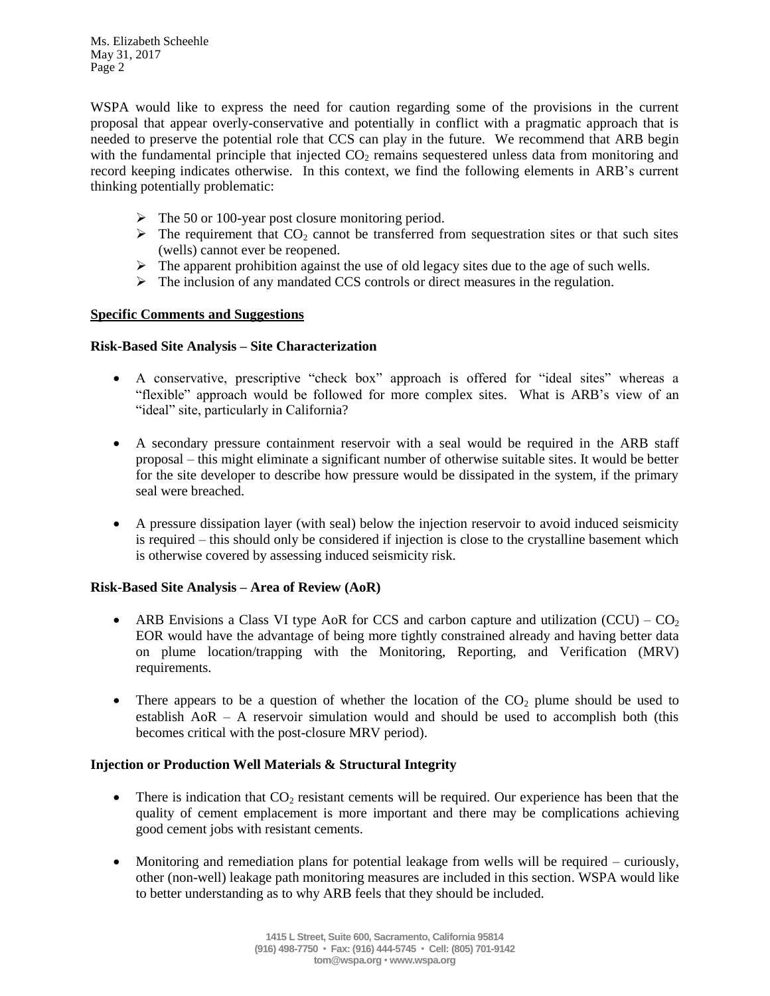WSPA would like to express the need for caution regarding some of the provisions in the current proposal that appear overly-conservative and potentially in conflict with a pragmatic approach that is needed to preserve the potential role that CCS can play in the future. We recommend that ARB begin with the fundamental principle that injected  $CO<sub>2</sub>$  remains sequestered unless data from monitoring and record keeping indicates otherwise. In this context, we find the following elements in ARB's current thinking potentially problematic:

- $\triangleright$  The 50 or 100-year post closure monitoring period.
- $\triangleright$  The requirement that CO<sub>2</sub> cannot be transferred from sequestration sites or that such sites (wells) cannot ever be reopened.
- $\triangleright$  The apparent prohibition against the use of old legacy sites due to the age of such wells.
- $\triangleright$  The inclusion of any mandated CCS controls or direct measures in the regulation.

### **Specific Comments and Suggestions**

#### **Risk-Based Site Analysis – Site Characterization**

- A conservative, prescriptive "check box" approach is offered for "ideal sites" whereas a "flexible" approach would be followed for more complex sites. What is ARB's view of an "ideal" site, particularly in California?
- A secondary pressure containment reservoir with a seal would be required in the ARB staff proposal – this might eliminate a significant number of otherwise suitable sites. It would be better for the site developer to describe how pressure would be dissipated in the system, if the primary seal were breached.
- A pressure dissipation layer (with seal) below the injection reservoir to avoid induced seismicity is required – this should only be considered if injection is close to the crystalline basement which is otherwise covered by assessing induced seismicity risk.

### **Risk-Based Site Analysis – Area of Review (AoR)**

- ARB Envisions a Class VI type AoR for CCS and carbon capture and utilization (CCU) CO<sub>2</sub> EOR would have the advantage of being more tightly constrained already and having better data on plume location/trapping with the Monitoring, Reporting, and Verification (MRV) requirements.
- There appears to be a question of whether the location of the  $CO<sub>2</sub>$  plume should be used to establish AoR – A reservoir simulation would and should be used to accomplish both (this becomes critical with the post-closure MRV period).

### **Injection or Production Well Materials & Structural Integrity**

- There is indication that  $CO<sub>2</sub>$  resistant cements will be required. Our experience has been that the quality of cement emplacement is more important and there may be complications achieving good cement jobs with resistant cements.
- Monitoring and remediation plans for potential leakage from wells will be required curiously, other (non-well) leakage path monitoring measures are included in this section. WSPA would like to better understanding as to why ARB feels that they should be included.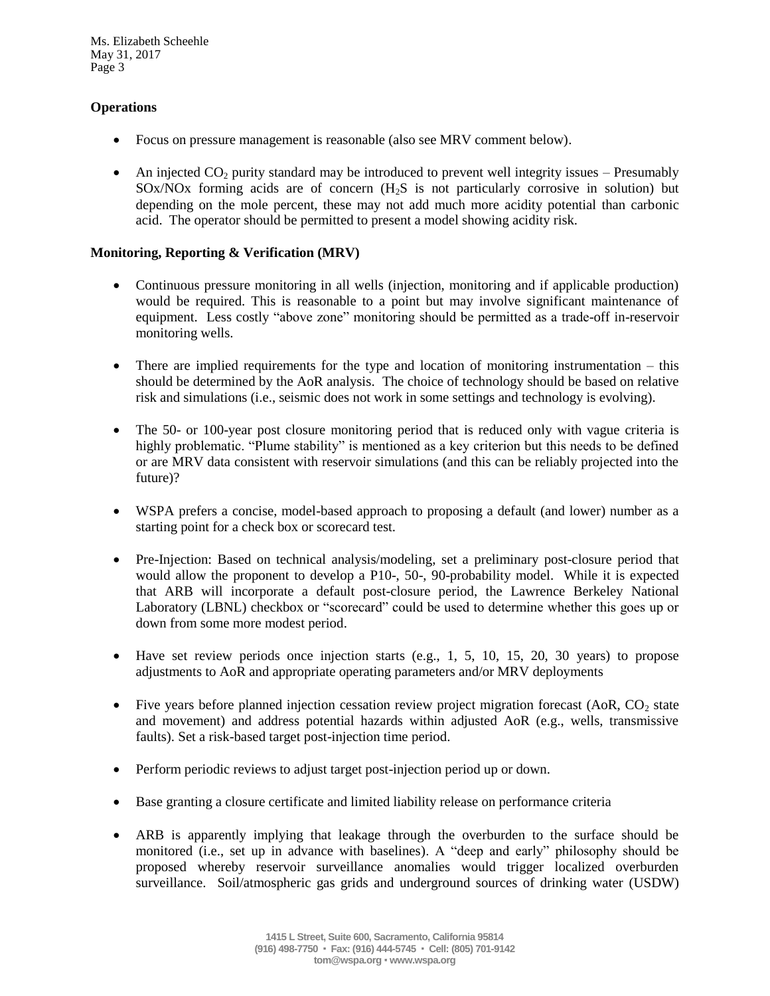# **Operations**

- Focus on pressure management is reasonable (also see MRV comment below).
- An injected  $CO<sub>2</sub>$  purity standard may be introduced to prevent well integrity issues Presumably  $SOX/NOx$  forming acids are of concern  $(H<sub>2</sub>S)$  is not particularly corrosive in solution) but depending on the mole percent, these may not add much more acidity potential than carbonic acid. The operator should be permitted to present a model showing acidity risk.

### **Monitoring, Reporting & Verification (MRV)**

- Continuous pressure monitoring in all wells (injection, monitoring and if applicable production) would be required. This is reasonable to a point but may involve significant maintenance of equipment. Less costly "above zone" monitoring should be permitted as a trade-off in-reservoir monitoring wells.
- There are implied requirements for the type and location of monitoring instrumentation this should be determined by the AoR analysis. The choice of technology should be based on relative risk and simulations (i.e., seismic does not work in some settings and technology is evolving).
- The 50- or 100-year post closure monitoring period that is reduced only with vague criteria is highly problematic. "Plume stability" is mentioned as a key criterion but this needs to be defined or are MRV data consistent with reservoir simulations (and this can be reliably projected into the future)?
- WSPA prefers a concise, model-based approach to proposing a default (and lower) number as a starting point for a check box or scorecard test.
- Pre-Injection: Based on technical analysis/modeling, set a preliminary post-closure period that would allow the proponent to develop a P10-, 50-, 90-probability model. While it is expected that ARB will incorporate a default post-closure period, the Lawrence Berkeley National Laboratory (LBNL) checkbox or "scorecard" could be used to determine whether this goes up or down from some more modest period.
- $\bullet$  Have set review periods once injection starts (e.g., 1, 5, 10, 15, 20, 30 years) to propose adjustments to AoR and appropriate operating parameters and/or MRV deployments
- Five years before planned injection cessation review project migration forecast (AoR,  $CO<sub>2</sub>$  state and movement) and address potential hazards within adjusted AoR (e.g., wells, transmissive faults). Set a risk-based target post-injection time period.
- Perform periodic reviews to adjust target post-injection period up or down.
- Base granting a closure certificate and limited liability release on performance criteria
- ARB is apparently implying that leakage through the overburden to the surface should be monitored (i.e., set up in advance with baselines). A "deep and early" philosophy should be proposed whereby reservoir surveillance anomalies would trigger localized overburden surveillance. Soil/atmospheric gas grids and underground sources of drinking water (USDW)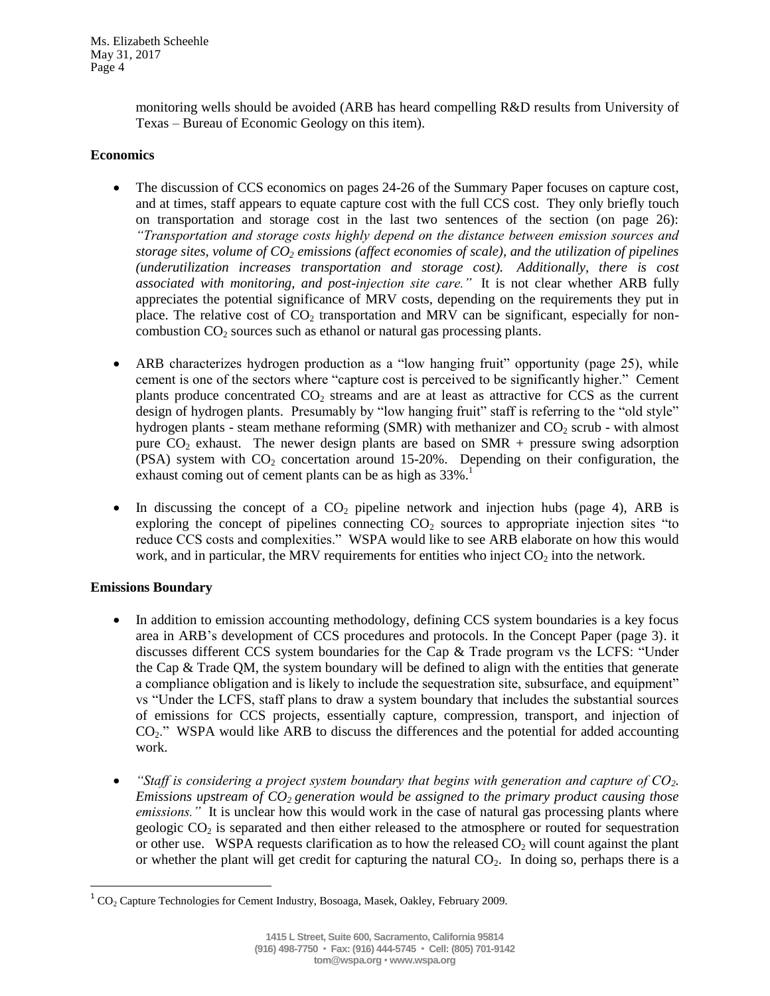> monitoring wells should be avoided (ARB has heard compelling R&D results from University of Texas – Bureau of Economic Geology on this item).

### **Economics**

- The discussion of CCS economics on pages 24-26 of the Summary Paper focuses on capture cost, and at times, staff appears to equate capture cost with the full CCS cost. They only briefly touch on transportation and storage cost in the last two sentences of the section (on page 26): *"Transportation and storage costs highly depend on the distance between emission sources and storage sites, volume of CO<sup>2</sup> emissions (affect economies of scale), and the utilization of pipelines (underutilization increases transportation and storage cost). Additionally, there is cost associated with monitoring, and post-injection site care."* It is not clear whether ARB fully appreciates the potential significance of MRV costs, depending on the requirements they put in place. The relative cost of  $CO<sub>2</sub>$  transportation and MRV can be significant, especially for noncombustion CO<sub>2</sub> sources such as ethanol or natural gas processing plants.
- ARB characterizes hydrogen production as a "low hanging fruit" opportunity (page 25), while cement is one of the sectors where "capture cost is perceived to be significantly higher." Cement plants produce concentrated  $CO<sub>2</sub>$  streams and are at least as attractive for CCS as the current design of hydrogen plants. Presumably by "low hanging fruit" staff is referring to the "old style" hydrogen plants - steam methane reforming (SMR) with methanizer and  $CO<sub>2</sub>$  scrub - with almost pure  $CO<sub>2</sub>$  exhaust. The newer design plants are based on SMR + pressure swing adsorption (PSA) system with  $CO<sub>2</sub>$  concertation around 15-20%. Depending on their configuration, the exhaust coming out of cement plants can be as high as  $33\%$ .<sup>1</sup>
- In discussing the concept of a  $CO<sub>2</sub>$  pipeline network and injection hubs (page 4), ARB is exploring the concept of pipelines connecting  $CO<sub>2</sub>$  sources to appropriate injection sites "to reduce CCS costs and complexities." WSPA would like to see ARB elaborate on how this would work, and in particular, the MRV requirements for entities who inject  $CO<sub>2</sub>$  into the network.

# **Emissions Boundary**

 $\overline{\phantom{a}}$ 

- In addition to emission accounting methodology, defining CCS system boundaries is a key focus area in ARB's development of CCS procedures and protocols. In the Concept Paper (page 3). it discusses different CCS system boundaries for the Cap & Trade program vs the LCFS: "Under the Cap  $\&$  Trade QM, the system boundary will be defined to align with the entities that generate a compliance obligation and is likely to include the sequestration site, subsurface, and equipment" vs "Under the LCFS, staff plans to draw a system boundary that includes the substantial sources of emissions for CCS projects, essentially capture, compression, transport, and injection of CO2." WSPA would like ARB to discuss the differences and the potential for added accounting work.
- *"Staff is considering a project system boundary that begins with generation and capture of CO2. Emissions upstream of CO2 generation would be assigned to the primary product causing those emissions.*" It is unclear how this would work in the case of natural gas processing plants where geologic  $CO<sub>2</sub>$  is separated and then either released to the atmosphere or routed for sequestration or other use. WSPA requests clarification as to how the released  $CO<sub>2</sub>$  will count against the plant or whether the plant will get credit for capturing the natural  $CO<sub>2</sub>$ . In doing so, perhaps there is a

 $1^1$  CO<sub>2</sub> Capture Technologies for Cement Industry, Bosoaga, Masek, Oakley, February 2009.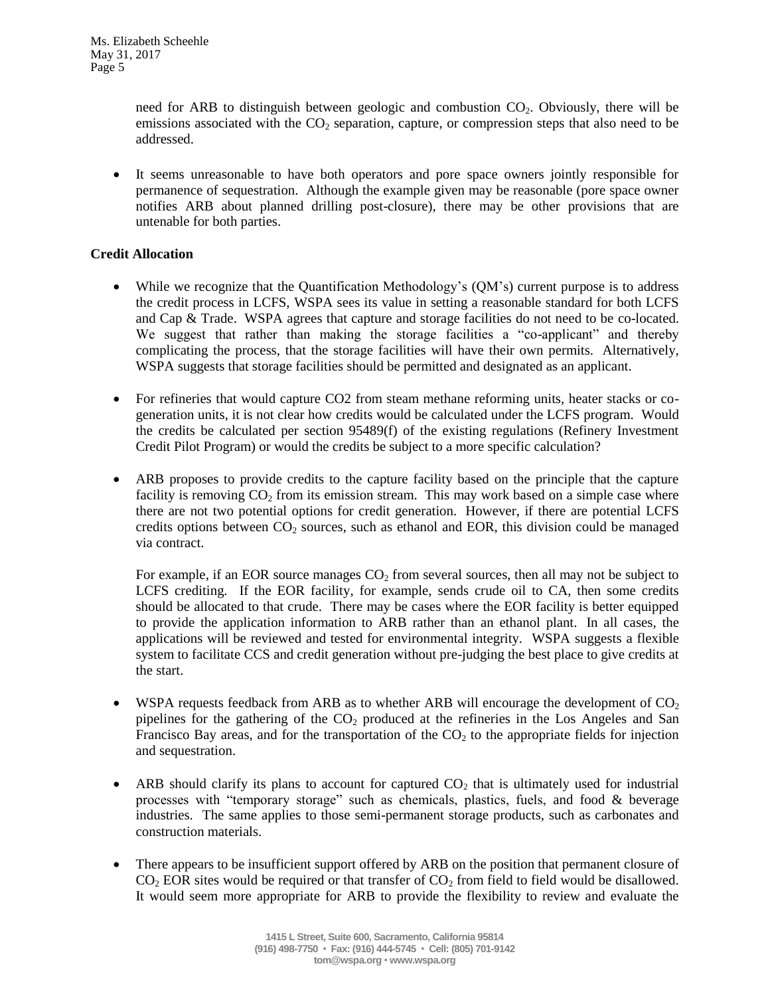need for ARB to distinguish between geologic and combustion  $CO<sub>2</sub>$ . Obviously, there will be emissions associated with the  $CO<sub>2</sub>$  separation, capture, or compression steps that also need to be addressed.

 It seems unreasonable to have both operators and pore space owners jointly responsible for permanence of sequestration. Although the example given may be reasonable (pore space owner notifies ARB about planned drilling post-closure), there may be other provisions that are untenable for both parties.

## **Credit Allocation**

- While we recognize that the Quantification Methodology's (QM's) current purpose is to address the credit process in LCFS, WSPA sees its value in setting a reasonable standard for both LCFS and Cap & Trade. WSPA agrees that capture and storage facilities do not need to be co-located. We suggest that rather than making the storage facilities a "co-applicant" and thereby complicating the process, that the storage facilities will have their own permits. Alternatively, WSPA suggests that storage facilities should be permitted and designated as an applicant.
- For refineries that would capture CO2 from steam methane reforming units, heater stacks or cogeneration units, it is not clear how credits would be calculated under the LCFS program. Would the credits be calculated per section 95489(f) of the existing regulations (Refinery Investment Credit Pilot Program) or would the credits be subject to a more specific calculation?
- ARB proposes to provide credits to the capture facility based on the principle that the capture facility is removing  $CO<sub>2</sub>$  from its emission stream. This may work based on a simple case where there are not two potential options for credit generation. However, if there are potential LCFS credits options between  $CO<sub>2</sub>$  sources, such as ethanol and EOR, this division could be managed via contract.

For example, if an EOR source manages  $CO<sub>2</sub>$  from several sources, then all may not be subject to LCFS crediting. If the EOR facility, for example, sends crude oil to CA, then some credits should be allocated to that crude. There may be cases where the EOR facility is better equipped to provide the application information to ARB rather than an ethanol plant. In all cases, the applications will be reviewed and tested for environmental integrity. WSPA suggests a flexible system to facilitate CCS and credit generation without pre-judging the best place to give credits at the start.

- WSPA requests feedback from ARB as to whether ARB will encourage the development of  $CO<sub>2</sub>$ pipelines for the gathering of the  $CO<sub>2</sub>$  produced at the refineries in the Los Angeles and San Francisco Bay areas, and for the transportation of the  $CO<sub>2</sub>$  to the appropriate fields for injection and sequestration.
- ARB should clarify its plans to account for captured  $CO<sub>2</sub>$  that is ultimately used for industrial processes with "temporary storage" such as chemicals, plastics, fuels, and food & beverage industries. The same applies to those semi-permanent storage products, such as carbonates and construction materials.
- There appears to be insufficient support offered by ARB on the position that permanent closure of  $CO<sub>2</sub> EOR$  sites would be required or that transfer of  $CO<sub>2</sub>$  from field to field would be disallowed. It would seem more appropriate for ARB to provide the flexibility to review and evaluate the